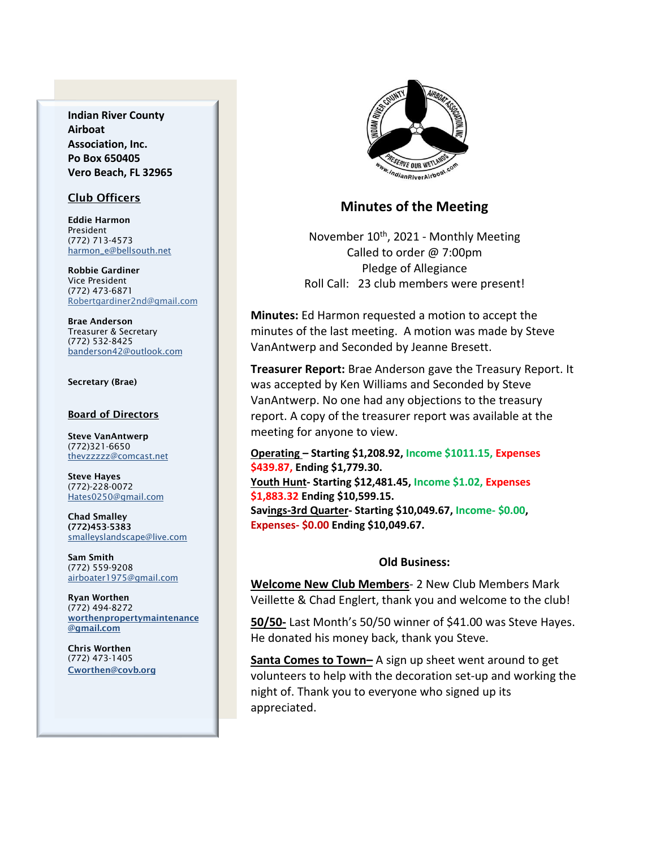**Indian River County Airboat Association, Inc. Po Box 650405 Vero Beach, FL 32965**

### Club Officers

Eddie Harmon President (772) 713-4573 [harmon\\_e@bellsouth.net](mailto:dougflood772@aol.com)

Robbie Gardiner Vice President (772) 473-6871 [Robertgardiner2nd@gmail.com](mailto:Robertgardiner2nd@gmail.com)

Brae Anderson Treasurer & Secretary (772) 532-8425 [banderson42@outlook.com](mailto:banderson42@outlook.com)

#### Secretary (Brae)

#### Board of Directors

Steve VanAntwerp (772)321-6650 [thevzzzzz@comcast.net](mailto:shufamil@peoplepc.com)

Steve Hayes (772)-228-0072 Hates0250@gmail.com

Chad Smalley (772)453-5383 smalleyslandscape@live.com

Sam Smith (772) 559-9208 [airboater1975@gmail.com](mailto:Airboater22@gmail.com)

Ryan Worthen (772) 494-8272 worthenpropertymaintenance @gmail.com

Chris Worthen (772) 473-1405 Cworthen@covb.org



## **Minutes of the Meeting**

November 10th, 2021 - Monthly Meeting Called to order @ 7:00pm Pledge of Allegiance Roll Call: 23 club members were present!

**Minutes:** Ed Harmon requested a motion to accept the minutes of the last meeting. A motion was made by Steve VanAntwerp and Seconded by Jeanne Bresett.

**Treasurer Report:** Brae Anderson gave the Treasury Report. It was accepted by Ken Williams and Seconded by Steve VanAntwerp. No one had any objections to the treasury report. A copy of the treasurer report was available at the meeting for anyone to view.

**Operating – Starting \$1,208.92, Income \$1011.15, Expenses \$439.87, Ending \$1,779.30. Youth Hunt- Starting \$12,481.45, Income \$1.02, Expenses \$1,883.32 Ending \$10,599.15. Savings-3rd Quarter- Starting \$10,049.67, Income- \$0.00, Expenses- \$0.00 Ending \$10,049.67.**

### **Old Business:**

**Welcome New Club Members**- 2 New Club Members Mark Veillette & Chad Englert, thank you and welcome to the club!

**50/50-** Last Month's 50/50 winner of \$41.00 was Steve Hayes. He donated his money back, thank you Steve.

**Santa Comes to Town–** A sign up sheet went around to get volunteers to help with the decoration set-up and working the night of. Thank you to everyone who signed up its appreciated.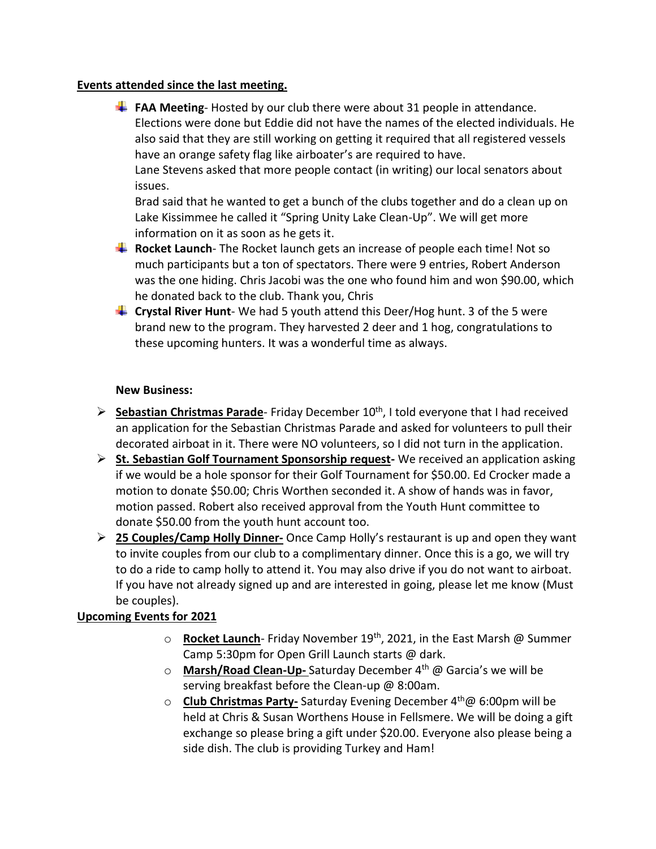## **Events attended since the last meeting.**

**FAA Meeting**-Hosted by our club there were about 31 people in attendance. Elections were done but Eddie did not have the names of the elected individuals. He also said that they are still working on getting it required that all registered vessels have an orange safety flag like airboater's are required to have.

Lane Stevens asked that more people contact (in writing) our local senators about issues.

Brad said that he wanted to get a bunch of the clubs together and do a clean up on Lake Kissimmee he called it "Spring Unity Lake Clean-Up". We will get more information on it as soon as he gets it.

- **Rocket Launch** The Rocket launch gets an increase of people each time! Not so much participants but a ton of spectators. There were 9 entries, Robert Anderson was the one hiding. Chris Jacobi was the one who found him and won \$90.00, which he donated back to the club. Thank you, Chris
- **Crystal River Hunt** We had 5 youth attend this Deer/Hog hunt. 3 of the 5 were brand new to the program. They harvested 2 deer and 1 hog, congratulations to these upcoming hunters. It was a wonderful time as always.

## **New Business:**

- ➢ **Sebastian Christmas Parade** Friday December 10th, I told everyone that I had received an application for the Sebastian Christmas Parade and asked for volunteers to pull their decorated airboat in it. There were NO volunteers, so I did not turn in the application.
- ➢ **St. Sebastian Golf Tournament Sponsorship request-** We received an application asking if we would be a hole sponsor for their Golf Tournament for \$50.00. Ed Crocker made a motion to donate \$50.00; Chris Worthen seconded it. A show of hands was in favor, motion passed. Robert also received approval from the Youth Hunt committee to donate \$50.00 from the youth hunt account too.
- ➢ **25 Couples/Camp Holly Dinner-** Once Camp Holly's restaurant is up and open they want to invite couples from our club to a complimentary dinner. Once this is a go, we will try to do a ride to camp holly to attend it. You may also drive if you do not want to airboat. If you have not already signed up and are interested in going, please let me know (Must be couples).

# **Upcoming Events for 2021**

- o **Rocket Launch**-Friday November 19<sup>th</sup>, 2021, in the East Marsh @ Summer Camp 5:30pm for Open Grill Launch starts @ dark.
- o **Marsh/Road Clean-Up-** Saturday December 4th @ Garcia's we will be serving breakfast before the Clean-up @ 8:00am.
- o **Club Christmas Party-** Saturday Evening December 4th@ 6:00pm will be held at Chris & Susan Worthens House in Fellsmere. We will be doing a gift exchange so please bring a gift under \$20.00. Everyone also please being a side dish. The club is providing Turkey and Ham!